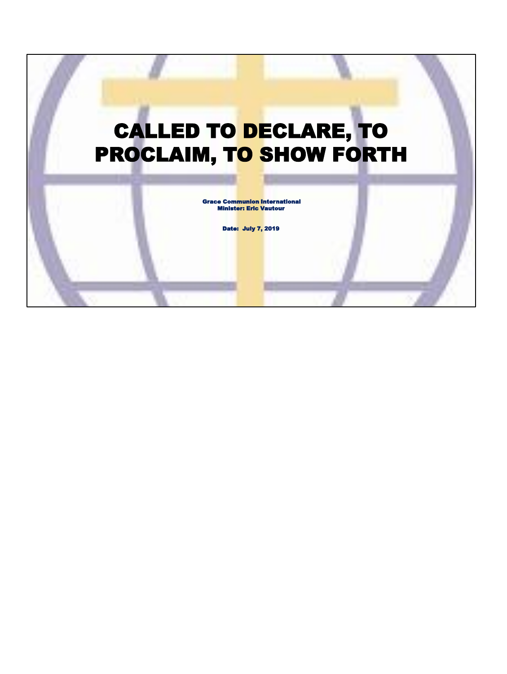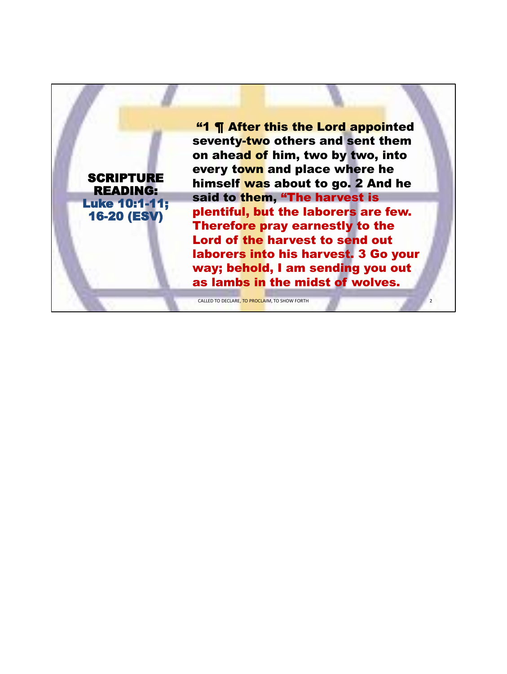"1 ¶ After this the Lord appointed seventy-two others and sent them on ahead of him, two by two, into every town and place where he himself was about to go. 2 And he said to them, "The harvest is plentiful, but the laborers are few. Therefore pray earnestly to the Lord of the harvest to send out laborers into his harvest. 3 Go your way; behold, I am sending you out as lambs in the midst of wolves.

2

CALLED TO DECLARE, TO PROCLAIM, TO SHOW FORTH

**SCRIPTURE** READING: Luke 10:1-11; 16-20 (ESV)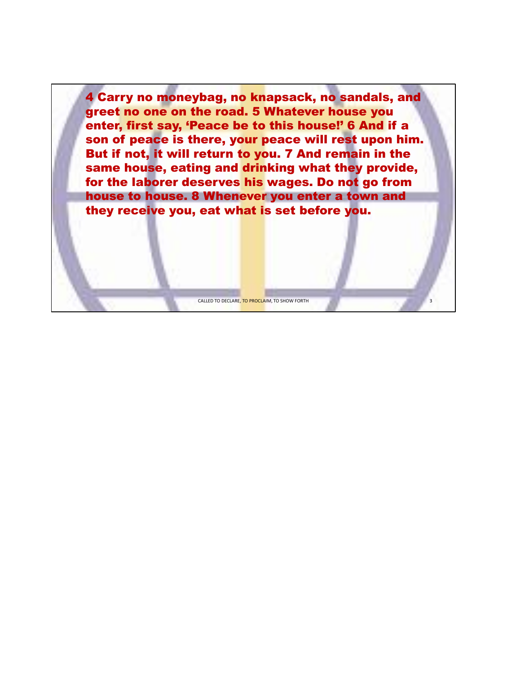4 Carry no moneybag, no knapsack, no sandals, and greet no one on the road. 5 Whatever house you enter, first say, 'Peace be to this house!' 6 And if a son of peace is there, your peace will rest upon him. But if not, it will return to you. 7 And remain in the same house, eating and drinking what they provide, for the laborer deserves his wages. Do not go from house to house. 8 Whenever you enter a town and they receive you, eat what is set before you.

CALLED TO DECLARE, TO PROCLAIM, TO SHOW FORTH

3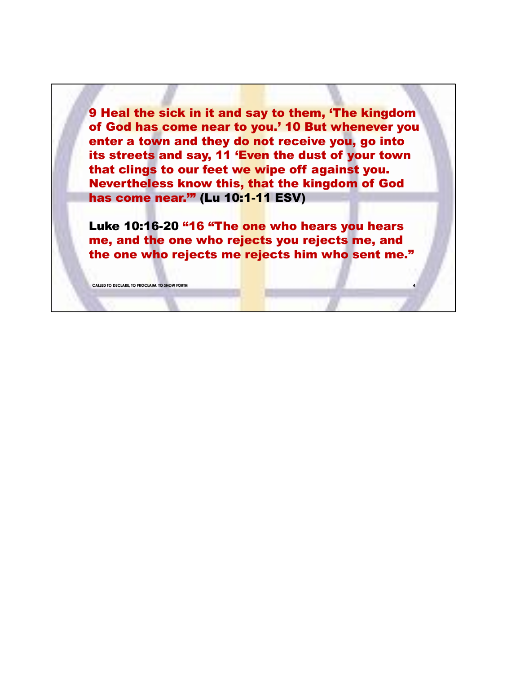9 Heal the sick in it and say to them, 'The kingdom of God has come near to you.' 10 But whenever you enter a town and they do not receive you, go into its streets and say, 11 'Even the dust of your town that clings to our feet we wipe off against you. Nevertheless know this, that the kingdom of God has come near.'" (Lu 10:1-11 ESV)

Luke 10:16-20 "16 "The one who hears you hears me, and the one who rejects you rejects me, and the one who rejects me rejects him who sent me."

**4**

**CALLED TO DECLARE, TO PROCLAIM, TO SHOW FORTH**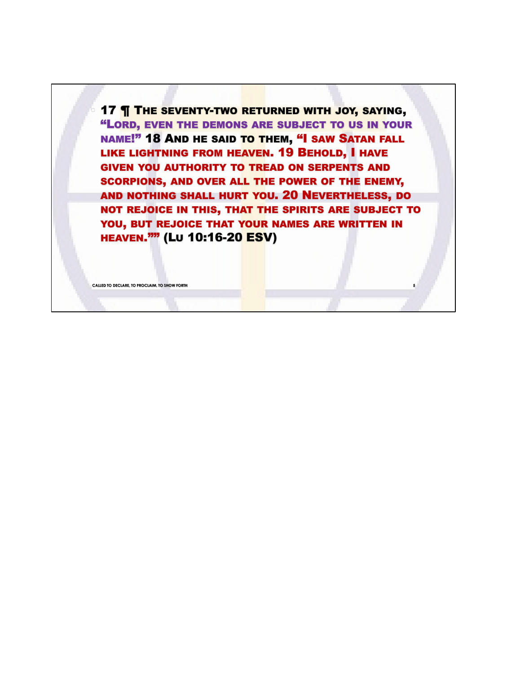17 **THE SEVENTY-TWO RETURNED WITH JOY, SAYING,** "LORD, EVEN THE DEMONS ARE SUBJECT TO US IN YOUR NAME!" 18 AND HE SAID TO THEM, "I SAW SATAN FALL LIKE LIGHTNING FROM HEAVEN. 19 BEHOLD, I HAVE GIVEN YOU AUTHORITY TO TREAD ON SERPENTS AND SCORPIONS, AND OVER ALL THE POWER OF THE ENEMY, AND NOTHING SHALL HURT YOU. 20 NEVERTHELESS, DO NOT REJOICE IN THIS, THAT THE SPIRITS ARE SUBJECT TO YOU, BUT REJOICE THAT YOUR NAMES ARE WRITTEN IN HEAVEN."" (LU 10:16-20 ESV)

**CALLED TO DECLARE, TO PROCLAIM, TO SHOW FORTH**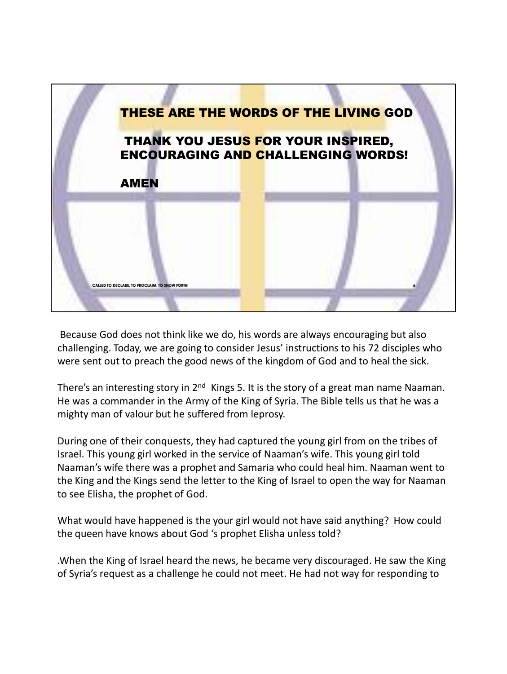

Because God does not think like we do, his words are always encouraging but also challenging. Today, we are going to consider Jesus' instructions to his 72 disciples who were sent out to preach the good news of the kingdom of God and to heal the sick.

There's an interesting story in  $2<sup>nd</sup>$  Kings 5. It is the story of a great man name Naaman. He was a commander in the Army of the King of Syria. The Bible tells us that he was a mighty man of valour but he suffered from leprosy.

During one of their conquests, they had captured the young girl from on the tribes of Israel. This young girl worked in the service of Naaman's wife. This young girl told Naaman's wife there was a prophet and Samaria who could heal him. Naaman went to the King and the Kings send the letter to the King of Israel to open the way for Naaman to see Elisha, the prophet of God.

What would have happened is the your girl would not have said anything? How could the queen have knows about God 's prophet Elisha unless told?

.When the King of Israel heard the news, he became very discouraged. He saw the King of Syria's request as a challenge he could not meet. He had not way for responding to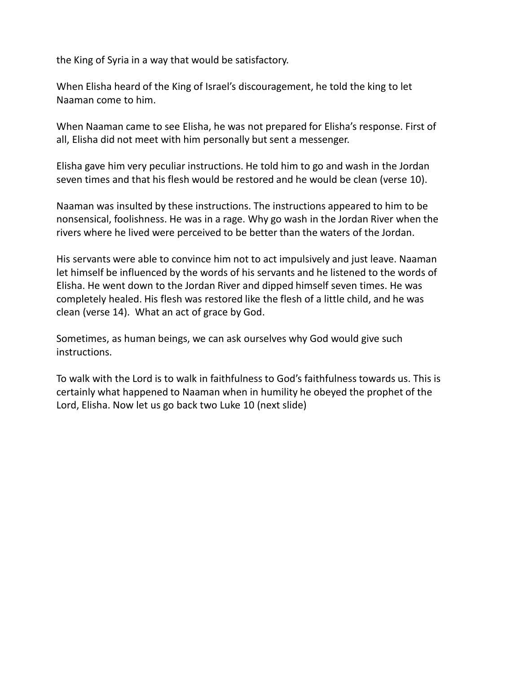the King of Syria in a way that would be satisfactory.

When Elisha heard of the King of Israel's discouragement, he told the king to let Naaman come to him.

When Naaman came to see Elisha, he was not prepared for Elisha's response. First of all, Elisha did not meet with him personally but sent a messenger.

Elisha gave him very peculiar instructions. He told him to go and wash in the Jordan seven times and that his flesh would be restored and he would be clean (verse 10).

Naaman was insulted by these instructions. The instructions appeared to him to be nonsensical, foolishness. He was in a rage. Why go wash in the Jordan River when the rivers where he lived were perceived to be better than the waters of the Jordan.

His servants were able to convince him not to act impulsively and just leave. Naaman let himself be influenced by the words of his servants and he listened to the words of Elisha. He went down to the Jordan River and dipped himself seven times. He was completely healed. His flesh was restored like the flesh of a little child, and he was clean (verse 14). What an act of grace by God.

Sometimes, as human beings, we can ask ourselves why God would give such instructions.

To walk with the Lord is to walk in faithfulness to God's faithfulness towards us. This is certainly what happened to Naaman when in humility he obeyed the prophet of the Lord, Elisha. Now let us go back two Luke 10 (next slide)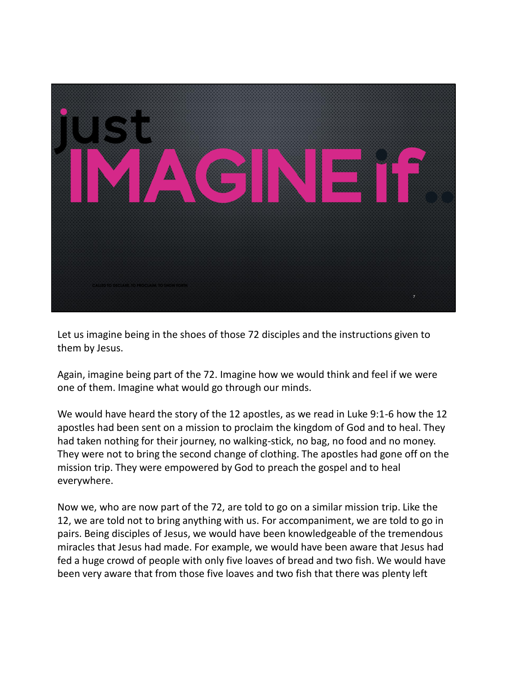

Let us imagine being in the shoes of those 72 disciples and the instructions given to them by Jesus.

Again, imagine being part of the 72. Imagine how we would think and feel if we were one of them. Imagine what would go through our minds.

We would have heard the story of the 12 apostles, as we read in Luke 9:1-6 how the 12 apostles had been sent on a mission to proclaim the kingdom of God and to heal. They had taken nothing for their journey, no walking-stick, no bag, no food and no money. They were not to bring the second change of clothing. The apostles had gone off on the mission trip. They were empowered by God to preach the gospel and to heal everywhere.

Now we, who are now part of the 72, are told to go on a similar mission trip. Like the 12, we are told not to bring anything with us. For accompaniment, we are told to go in pairs. Being disciples of Jesus, we would have been knowledgeable of the tremendous miracles that Jesus had made. For example, we would have been aware that Jesus had fed a huge crowd of people with only five loaves of bread and two fish. We would have been very aware that from those five loaves and two fish that there was plenty left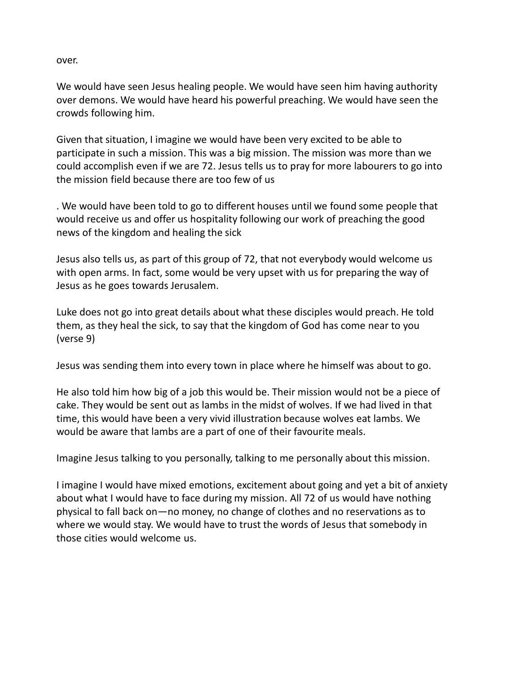over.

We would have seen Jesus healing people. We would have seen him having authority over demons. We would have heard his powerful preaching. We would have seen the crowds following him.

Given that situation, I imagine we would have been very excited to be able to participate in such a mission. This was a big mission. The mission was more than we could accomplish even if we are 72. Jesus tells us to pray for more labourers to go into the mission field because there are too few of us

. We would have been told to go to different houses until we found some people that would receive us and offer us hospitality following our work of preaching the good news of the kingdom and healing the sick

Jesus also tells us, as part of this group of 72, that not everybody would welcome us with open arms. In fact, some would be very upset with us for preparing the way of Jesus as he goes towards Jerusalem.

Luke does not go into great details about what these disciples would preach. He told them, as they heal the sick, to say that the kingdom of God has come near to you (verse 9)

Jesus was sending them into every town in place where he himself was about to go.

He also told him how big of a job this would be. Their mission would not be a piece of cake. They would be sent out as lambs in the midst of wolves. If we had lived in that time, this would have been a very vivid illustration because wolves eat lambs. We would be aware that lambs are a part of one of their favourite meals.

Imagine Jesus talking to you personally, talking to me personally about this mission.

I imagine I would have mixed emotions, excitement about going and yet a bit of anxiety about what I would have to face during my mission. All 72 of us would have nothing physical to fall back on—no money, no change of clothes and no reservations as to where we would stay. We would have to trust the words of Jesus that somebody in those cities would welcome us.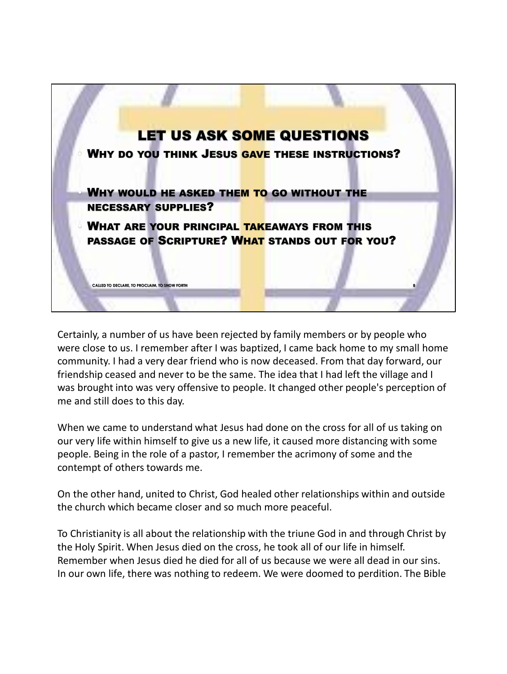

Certainly, a number of us have been rejected by family members or by people who were close to us. I remember after I was baptized, I came back home to my small home community. I had a very dear friend who is now deceased. From that day forward, our friendship ceased and never to be the same. The idea that I had left the village and I was brought into was very offensive to people. It changed other people's perception of me and still does to this day.

When we came to understand what Jesus had done on the cross for all of us taking on our very life within himself to give us a new life, it caused more distancing with some people. Being in the role of a pastor, I remember the acrimony of some and the contempt of others towards me.

On the other hand, united to Christ, God healed other relationships within and outside the church which became closer and so much more peaceful.

To Christianity is all about the relationship with the triune God in and through Christ by the Holy Spirit. When Jesus died on the cross, he took all of our life in himself. Remember when Jesus died he died for all of us because we were all dead in our sins. In our own life, there was nothing to redeem. We were doomed to perdition. The Bible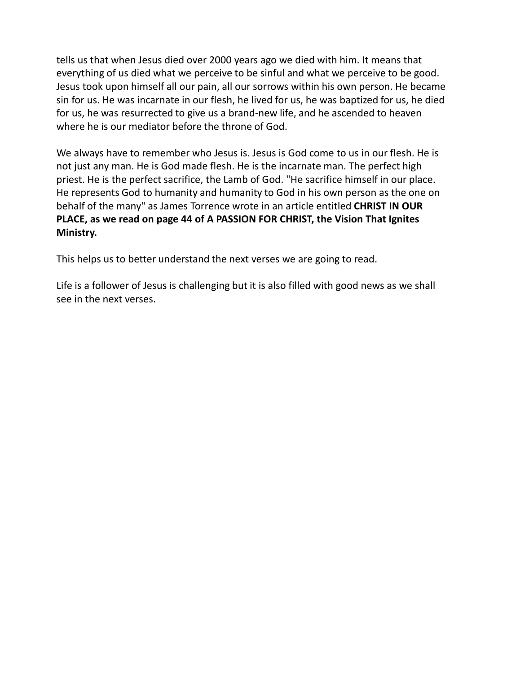tells us that when Jesus died over 2000 years ago we died with him. It means that everything of us died what we perceive to be sinful and what we perceive to be good. Jesus took upon himself all our pain, all our sorrows within his own person. He became sin for us. He was incarnate in our flesh, he lived for us, he was baptized for us, he died for us, he was resurrected to give us a brand-new life, and he ascended to heaven where he is our mediator before the throne of God.

We always have to remember who Jesus is. Jesus is God come to us in our flesh. He is not just any man. He is God made flesh. He is the incarnate man. The perfect high priest. He is the perfect sacrifice, the Lamb of God. "He sacrifice himself in our place. He represents God to humanity and humanity to God in his own person as the one on behalf of the many" as James Torrence wrote in an article entitled **CHRIST IN OUR PLACE, as we read on page 44 of A PASSION FOR CHRIST, the Vision That Ignites Ministry.**

This helps us to better understand the next verses we are going to read.

Life is a follower of Jesus is challenging but it is also filled with good news as we shall see in the next verses.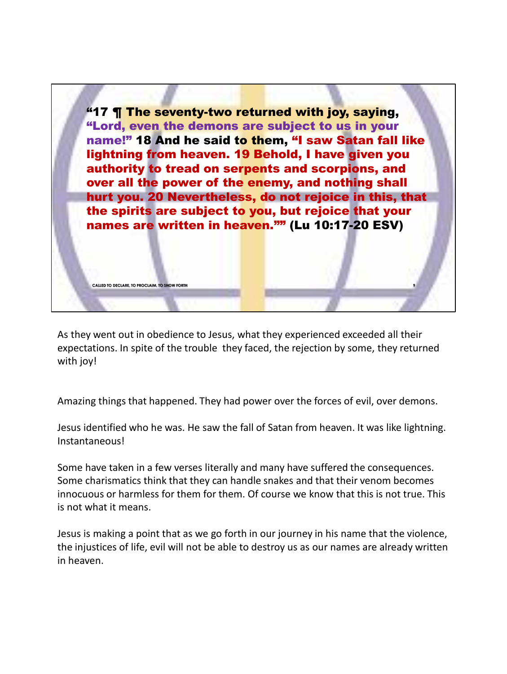

As they went out in obedience to Jesus, what they experienced exceeded all their expectations. In spite of the trouble they faced, the rejection by some, they returned with joy!

Amazing things that happened. They had power over the forces of evil, over demons.

Jesus identified who he was. He saw the fall of Satan from heaven. It was like lightning. Instantaneous!

Some have taken in a few verses literally and many have suffered the consequences. Some charismatics think that they can handle snakes and that their venom becomes innocuous or harmless for them for them. Of course we know that this is not true. This is not what it means.

Jesus is making a point that as we go forth in our journey in his name that the violence, the injustices of life, evil will not be able to destroy us as our names are already written in heaven.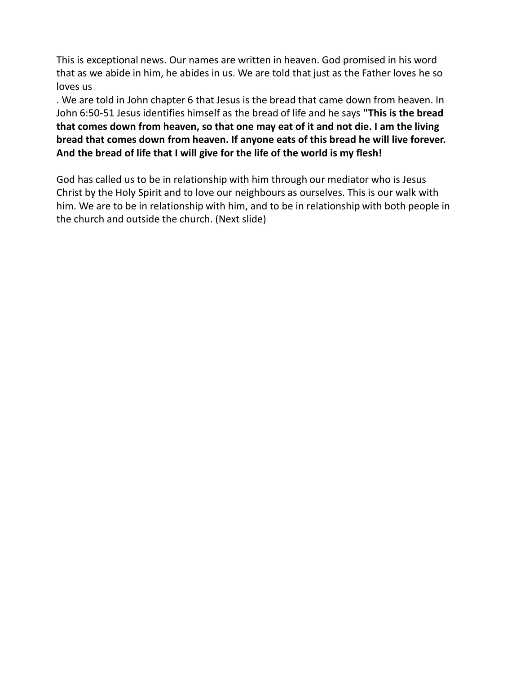This is exceptional news. Our names are written in heaven. God promised in his word that as we abide in him, he abides in us. We are told that just as the Father loves he so loves us

. We are told in John chapter 6 that Jesus is the bread that came down from heaven. In John 6:50-51 Jesus identifies himself as the bread of life and he says **"This is the bread that comes down from heaven, so that one may eat of it and not die. I am the living bread that comes down from heaven. If anyone eats of this bread he will live forever. And the bread of life that I will give for the life of the world is my flesh!**

God has called us to be in relationship with him through our mediator who is Jesus Christ by the Holy Spirit and to love our neighbours as ourselves. This is our walk with him. We are to be in relationship with him, and to be in relationship with both people in the church and outside the church. (Next slide)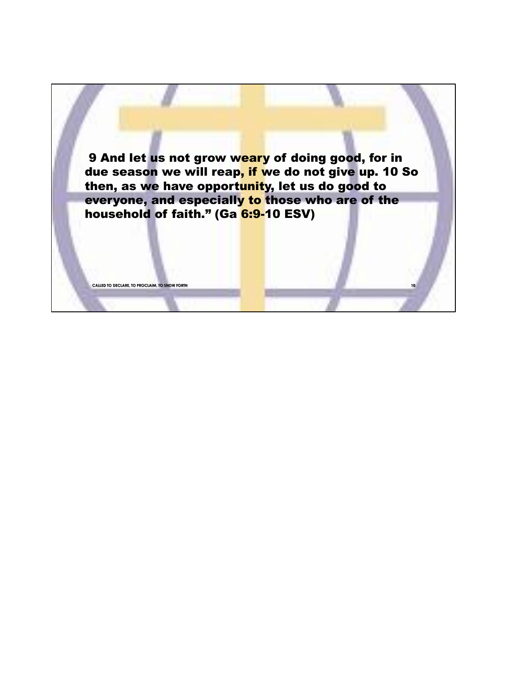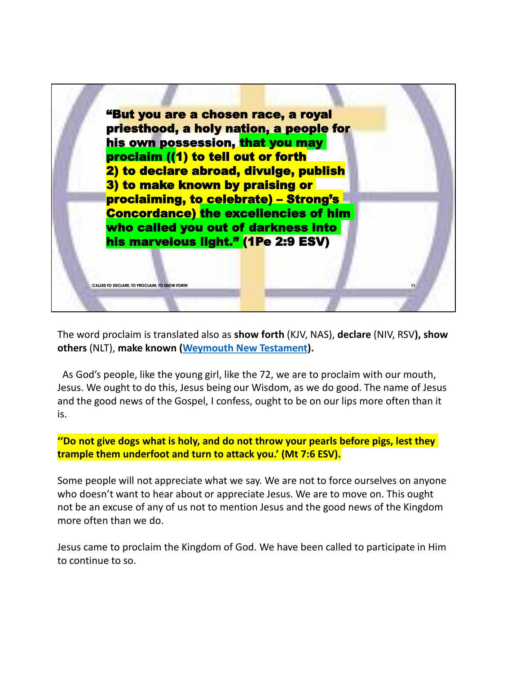

The word proclaim is translated also as **show forth** (KJV, NAS), **declare** (NIV, RSV**), show others** (NLT), **make known (Weymouth New Testament).**

As God's people, like the young girl, like the 72, we are to proclaim with our mouth, Jesus. We ought to do this, Jesus being our Wisdom, as we do good. The name of Jesus and the good news of the Gospel, I confess, ought to be on our lips more often than it is.

**''Do not give dogs what is holy, and do not throw your pearls before pigs, lest they trample them underfoot and turn to attack you.' (Mt 7:6 ESV).**

Some people will not appreciate what we say. We are not to force ourselves on anyone who doesn't want to hear about or appreciate Jesus. We are to move on. This ought not be an excuse of any of us not to mention Jesus and the good news of the Kingdom more often than we do.

Jesus came to proclaim the Kingdom of God. We have been called to participate in Him to continue to so.